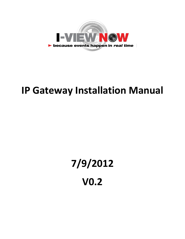

## **IP Gateway Installation Manual**

## **7/9/2012 V0.2**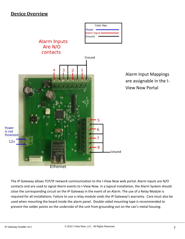## **Device Overview**



The IP Gateway allows TCP/IP network communication to the I-View Now web portal. Alarm inputs are N/O contacts and are used to signal Alarm events to I-View Now. In a typical installation, the Alarm System should close the corresponding circuit on the IP Gateway in the event of an Alarm. The use of a Relay Module is required for all installations. Failure to use a relay module voids the IP Gateway's warranty. Care must also be used when mounting the board inside the alarm panel. Double-sided mounting tape is recommended to prevent the solder points on the underside of the unit from grounding out on the can's metal housing.